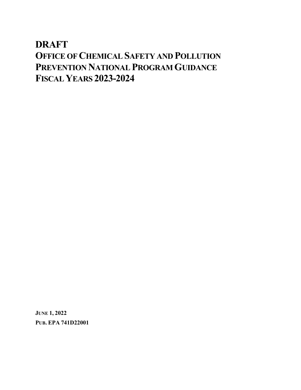# **DRAFT OFFICE OF CHEMICAL SAFETY AND POLLUTION PREVENTION NATIONAL PROGRAM GUIDANCE FISCAL YEARS 2023-2024**

**JUNE 1, 2022 PUB. EPA 741D22001**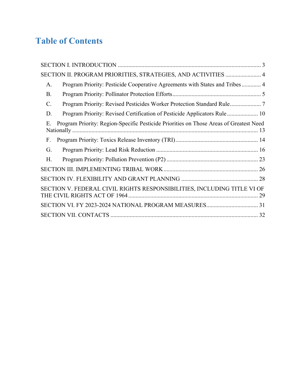# **Table of Contents**

| SECTION II. PROGRAM PRIORITIES, STRATEGIES, AND ACTIVITIES  4                                |
|----------------------------------------------------------------------------------------------|
| Program Priority: Pesticide Cooperative Agreements with States and Tribes  4<br>A.           |
| <b>B.</b>                                                                                    |
| C.                                                                                           |
| Program Priority: Revised Certification of Pesticide Applicators Rule 10<br>D.               |
| Program Priority: Region-Specific Pesticide Priorities on Those Areas of Greatest Need<br>Ε. |
| F.                                                                                           |
| G.                                                                                           |
| H.                                                                                           |
|                                                                                              |
|                                                                                              |
| SECTION V. FEDERAL CIVIL RIGHTS RESPONSIBILITIES, INCLUDING TITLE VI OF                      |
|                                                                                              |
|                                                                                              |
|                                                                                              |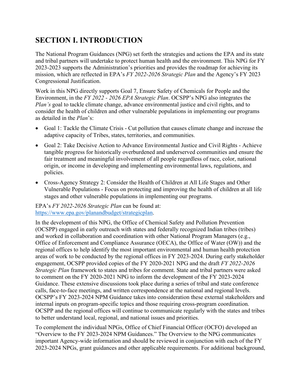## <span id="page-2-0"></span>**SECTION I. INTRODUCTION**

The National Program Guidances (NPG) set forth the strategies and actions the EPA and its state and tribal partners will undertake to protect human health and the environment. This NPG for FY 2023-2023 supports the Administration's priorities and provides the roadmap for achieving its mission, which are reflected in EPA's *FY 2022-2026 Strategic Plan* and the Agency's FY 2023 Congressional Justification.

Work in this NPG directly supports Goal 7, Ensure Safety of Chemicals for People and the Environment, in the *FY 2022 - 2026 EPA Strategic Plan*. OCSPP's NPG also integrates the *Plan's* goal to tackle climate change, advance environmental justice and civil rights, and to consider the health of children and other vulnerable populations in implementing our programs as detailed in the *Plan*'s:

- Goal 1: Tackle the Climate Crisis Cut pollution that causes climate change and increase the adaptive capacity of Tribes, states, territories, and communities.
- Goal 2: Take Decisive Action to Advance Environmental Justice and Civil Rights Achieve tangible progress for historically overburdened and underserved communities and ensure the fair treatment and meaningful involvement of all people regardless of race, color, national origin, or income in developing and implementing environmental laws, regulations, and policies.
- Cross-Agency Strategy 2: Consider the Health of Children at All Life Stages and Other Vulnerable Populations - Focus on protecting and improving the health of children at all life stages and other vulnerable populations in implementing our programs.

EPA's *FY 2022-2026 Strategic Plan* can be found at: [https://www.epa.gov/planandbudget/strategicplan.](https://www.epa.gov/planandbudget/strategicplan)

In the development of this NPG, the Office of Chemical Safety and Pollution Prevention (OCSPP) engaged in early outreach with states and federally recognized Indian tribes (tribes) and worked in collaboration and coordination with other National Program Managers (e.g., Office of Enforcement and Compliance Assurance (OECA), the Office of Water (OW)) and the regional offices to help identify the most important environmental and human health protection areas of work to be conducted by the regional offices in FY 2023-2024. During early stakeholder engagement, OCSPP provided copies of the FY 2020-2021 NPG and the draft *FY 2022-2026 Strategic Plan* framework to states and tribes for comment. State and tribal partners were asked to comment on the FY 2020-2021 NPG to inform the development of the FY 2023-2024 Guidance. These extensive discussions took place during a series of tribal and state conference calls, face-to-face meetings, and written correspondence at the national and regional levels. OCSPP's FY 2023-2024 NPM Guidance takes into consideration these external stakeholders and internal inputs on program-specific topics and those requiring cross-program coordination. OCSPP and the regional offices will continue to communicate regularly with the states and tribes to better understand local, regional, and national issues and priorities.

To complement the individual NPGs, Office of Chief Financial Officer (OCFO) developed an "Overview to the FY 2023-2024 NPM Guidances." The Overview to the NPG communicates important Agency-wide information and should be reviewed in conjunction with each of the FY 2023-2024 NPGs, grant guidances and other applicable requirements. For additional background,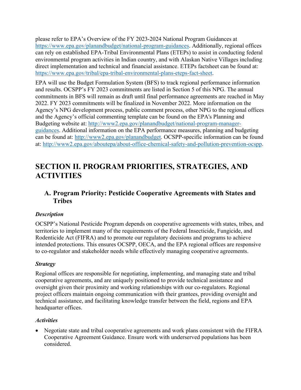please refer to EPA's Overview of the FY 2023-2024 National Program Guidances at [https://www.epa.gov/planandbudget/national-program-guidances.](https://www.epa.gov/planandbudget/national-program-guidances) Additionally, regional offices can rely on established EPA-Tribal Environmental Plans (ETEPs) to assist in conducting federal environmental program activities in Indian country, and with Alaskan Native Villages including direct implementation and technical and financial assistance. ETEPs factsheet can be found at: [https://www.epa.gov/tribal/epa-tribal-environmental-plans-eteps-fact-sheet.](https://www.epa.gov/tribal/epa-tribal-environmental-plans-eteps-fact-sheet)

EPA will use the Budget Formulation System (BFS) to track regional performance information and results. OCSPP's FY 2023 commitments are listed in Section 5 of this NPG. The annual commitments in BFS will remain as draft until final performance agreements are reached in May 2022. FY 2023 commitments will be finalized in November 2022. More information on the Agency's NPG development process, public comment process, other NPG to the regional offices and the Agency's official commenting template can be found on the EPA's Planning and Budgeting website at: [http://www2.epa.gov/planandbudget/national-program-manager](http://www2.epa.gov/planandbudget/national-program-manager-guidances)[guidances.](http://www2.epa.gov/planandbudget/national-program-manager-guidances) Additional information on the EPA performance measures, planning and budgeting can be found at: [http://www2.epa.gov/planandbudget.](http://www2.epa.gov/planandbudget) OCSPP-specific information can be found at: [http://www2.epa.gov/aboutepa/about-office-chemical-safety-and-pollution-prevention-ocspp.](http://www2.epa.gov/aboutepa/about-office-chemical-safety-and-pollution-prevention-ocspp)

## <span id="page-3-0"></span>**SECTION II. PROGRAM PRIORITIES, STRATEGIES, AND ACTIVITIES**

### <span id="page-3-1"></span>**A. Program Priority: Pesticide Cooperative Agreements with States and Tribes**

#### *Description*

OCSPP's National Pesticide Program depends on cooperative agreements with states, tribes, and territories to implement many of the requirements of the Federal Insecticide, Fungicide, and Rodenticide Act (FIFRA) and to promote our regulatory decisions and programs to achieve intended protections. This ensures OCSPP, OECA, and the EPA regional offices are responsive to co-regulator and stakeholder needs while effectively managing cooperative agreements.

#### *Strategy*

Regional offices are responsible for negotiating, implementing, and managing state and tribal cooperative agreements, and are uniquely positioned to provide technical assistance and oversight given their proximity and working relationships with our co-regulators. Regional project officers maintain ongoing communication with their grantees, providing oversight and technical assistance, and facilitating knowledge transfer between the field, regions and EPA headquarter offices.

#### *Activities*

• Negotiate state and tribal cooperative agreements and work plans consistent with the FIFRA Cooperative Agreement Guidance. Ensure work with underserved populations has been considered.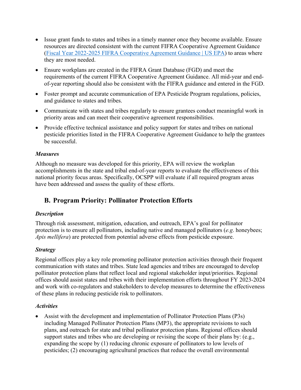- Issue grant funds to states and tribes in a timely manner once they become available. Ensure resources are directed consistent with the current FIFRA Cooperative Agreement Guidance [\(Fiscal Year 2022-2025 FIFRA Cooperative Agreement Guidance | US EPA\)](https://www.epa.gov/compliance/fiscal-year-2022-2025-fifra-cooperative-agreement-guidance) to areas where they are most needed.
- Ensure workplans are created in the FIFRA Grant Database (FGD) and meet the requirements of the current FIFRA Cooperative Agreement Guidance. All mid-year and endof-year reporting should also be consistent with the FIFRA guidance and entered in the FGD.
- Foster prompt and accurate communication of EPA Pesticide Program regulations, policies, and guidance to states and tribes.
- Communicate with states and tribes regularly to ensure grantees conduct meaningful work in priority areas and can meet their cooperative agreement responsibilities.
- Provide effective technical assistance and policy support for states and tribes on national pesticide priorities listed in the FIFRA Cooperative Agreement Guidance to help the grantees be successful.

#### *Measures*

Although no measure was developed for this priority, EPA will review the workplan accomplishments in the state and tribal end-of-year reports to evaluate the effectiveness of this national priority focus areas. Specifically, OCSPP will evaluate if all required program areas have been addressed and assess the quality of these efforts.

### <span id="page-4-0"></span>**B. Program Priority: Pollinator Protection Efforts**

#### *Description*

Through risk assessment, mitigation, education, and outreach, EPA's goal for pollinator protection is to ensure all pollinators, including native and managed pollinators (*e.g*. honeybees; *Apis mellifera*) are protected from potential adverse effects from pesticide exposure.

#### *Strategy*

Regional offices play a key role promoting pollinator protection activities through their frequent communication with states and tribes. State lead agencies and tribes are encouraged to develop pollinator protection plans that reflect local and regional stakeholder input/priorities. Regional offices should assist states and tribes with their implementation efforts throughout FY 2023-2024 and work with co-regulators and stakeholders to develop measures to determine the effectiveness of these plans in reducing pesticide risk to pollinators.

#### *Activities*

• Assist with the development and implementation of Pollinator Protection Plans (P3s) including Managed Pollinator Protection Plans (MP3), the appropriate revisions to such plans, and outreach for state and tribal pollinator protection plans. Regional offices should support states and tribes who are developing or revising the scope of their plans by: (e.g., expanding the scope by (1) reducing chronic exposure of pollinators to low levels of pesticides; (2) encouraging agricultural practices that reduce the overall environmental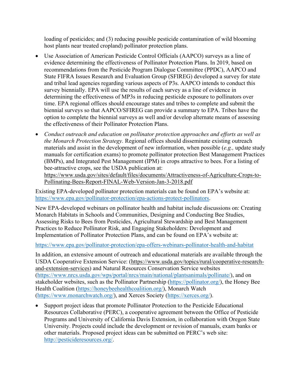loading of pesticides; and (3) reducing possible pesticide contamination of wild blooming host plants near treated cropland) pollinator protection plans.

- Use Association of American Pesticide Control Officials (AAPCO) surveys as a line of evidence determining the effectiveness of Pollinator Protection Plans. In 2019, based on recommendations from the Pesticide Program Dialogue Committee (PPDC), AAPCO and State FIFRA Issues Research and Evaluation Group (SFIREG) developed a survey for state and tribal lead agencies regarding various aspects of P3s. AAPCO intends to conduct this survey biennially. EPA will use the results of each survey as a line of evidence in determining the effectiveness of MP3s in reducing pesticide exposure to pollinators over time. EPA regional offices should encourage states and tribes to complete and submit the biennial surveys so that AAPCO/SFIREG can provide a summary to EPA. Tribes have the option to complete the biennial surveys as well and/or develop alternate means of assessing the effectiveness of their Pollinator Protection Plans.
- *Conduct outreach and education on pollinator protection approaches and efforts as well as the Monarch Protection Strategy.* Regional offices should disseminate existing outreach materials and assist in the development of new information, when possible (*e.g.,* update study manuals for certification exams) to promote pollinator protection Best Management Practices (BMPs), and Integrated Pest Management (IPM) in crops attractive to bees. For a listing of bee-attractive crops, see the USDA publication at: [https://www.usda.gov/sites/default/files/documents/Attractiveness-of-Agriculture-Crops-to-](https://www.usda.gov/sites/default/files/documents/Attractiveness-of-Agriculture-Crops-to-Pollinating-Bees-Report-FINAL-Web-Version-Jan-3-2018.pdf)[Pollinating-Bees-Report-FINAL-Web-Version-Jan-3-2018.pdf](https://www.usda.gov/sites/default/files/documents/Attractiveness-of-Agriculture-Crops-to-Pollinating-Bees-Report-FINAL-Web-Version-Jan-3-2018.pdf)

Existing EPA-developed pollinator protection materials can be found on EPA's website at: [https://www.epa.gov/pollinator-protection/epa-actions-protect-pollinators.](https://www.epa.gov/pollinator-protection/epa-actions-protect-pollinators)

New EPA-developed webinars on pollinator health and habitat include discussions on: Creating Monarch Habitats in Schools and Communities, Designing and Conducting Bee Studies, Assessing Risks to Bees from Pesticides, Agricultural Stewardship and Best Management Practices to Reduce Pollinator Risk, and Engaging Stakeholders: Development and Implementation of Pollinator Protection Plans, and can be found on EPA's website at:

<https://www.epa.gov/pollinator-protection/epa-offers-webinars-pollinator-health-and-habitat>

In addition, an extensive amount of outreach and educational materials are available through the USDA Cooperative Extension Service: [\(https://www.usda.gov/topics/rural/cooperative-research](https://www.usda.gov/topics/rural/cooperative-research-and-extension-services)[and-extension-services\)](https://www.usda.gov/topics/rural/cooperative-research-and-extension-services) and Natural Resources Conservation Service websites [\(https://www.nrcs.usda.gov/wps/portal/nrcs/main/national/plantsanimals/pollinate/\)](https://www.nrcs.usda.gov/wps/portal/nrcs/main/national/plantsanimals/pollinate/), and on stakeholder websites, such as the Pollinator Partnership [\(https://pollinator.org/\)](https://pollinator.org/), the Honey Bee Health Coalition [\(https://honeybeehealthcoalition.org/\)](https://honeybeehealthcoalition.org/), Monarch Watch [\(https://www.monarchwatch.org/\)](https://www.monarchwatch.org/), and Xerces Society [\(https://xerces.org/\)](https://xerces.org/).

Support project ideas that promote Pollinator Protection to the Pesticide Educational Resources Collaborative (PERC), a cooperative agreement between the Office of Pesticide Programs and University of California Davis Extension, in collaboration with Oregon State University. Projects could include the development or revision of manuals, exam banks or other materials. Proposed project ideas can be submitted on PERC's web site: [http://pesticideresources.org/.](http://pesticideresources.org/)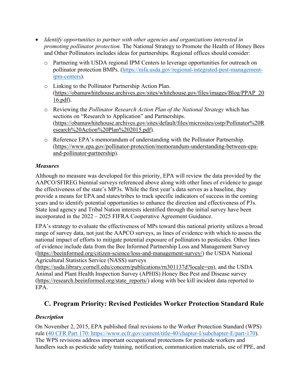- *Identify opportunities to partner with other agencies and organizations interested in promoting pollinator protection.* The National Strategy to Promote the Health of Honey Bees and Other Pollinators includes ideas for partnerships. Regional offices should consider:
	- o Partnering with USDA regional IPM Centers to leverage opportunities for outreach on pollinator protection BMPs. [\(https://nifa.usda.gov/regional-integrated-pest-management](https://nifa.usda.gov/regional-integrated-pest-management-ipm-centers)[ipm-centers\)](https://nifa.usda.gov/regional-integrated-pest-management-ipm-centers).
	- o Linking to the Pollinator Partnership Action Plan. [\(https://obamawhitehouse.archives.gov/sites/whitehouse.gov/files/images/Blog/PPAP\\_20](https://obamawhitehouse.archives.gov/sites/whitehouse.gov/files/images/Blog/PPAP_2016.pdf) [16.pdf\)](https://obamawhitehouse.archives.gov/sites/whitehouse.gov/files/images/Blog/PPAP_2016.pdf).
	- o Reviewing the *Pollinator Research Action Plan of the National Strategy* which has sections on "Research to Application" and Partnerships. [\(https://obamawhitehouse.archives.gov/sites/default/files/microsites/ostp/Pollinator%20R](https://obamawhitehouse.archives.gov/sites/default/files/microsites/ostp/Pollinator%20Research%20Action%20Plan%202015.pdf) [esearch%20Action%20Plan%202015.pdf\)](https://obamawhitehouse.archives.gov/sites/default/files/microsites/ostp/Pollinator%20Research%20Action%20Plan%202015.pdf).
	- o Reference EPA's memorandum of understanding with the Pollinator Partnership. [\(https://www.epa.gov/pollinator-protection/memorandum-understanding-between-epa](https://www.epa.gov/pollinator-protection/memorandum-understanding-between-epa-and-pollinator-partnership)[and-pollinator-partnership\)](https://www.epa.gov/pollinator-protection/memorandum-understanding-between-epa-and-pollinator-partnership).

#### *Measures*

Although no measure was developed for this priority, EPA will review the data provided by the AAPCO/SFIREG biennial surveys referenced above along with other lines of evidence to gauge the effectiveness of the state's MP3s. While the first year's data serves as a baseline, they provide a means for EPA and states/tribes to track specific indicators of success in the coming years and to identify potential opportunities to enhance the direction and effectiveness of P3s. State lead agency and Tribal Nation interests identified through the initial survey have been incorporated in the 2022 – 2025 FIFRA Cooperative Agreement Guidance.

EPA's strategy to evaluate the effectiveness of MPs toward this national priority utilizes a broad range of survey data, not just the AAPCO surveys, as lines of evidence with which to assess the national impact of efforts to mitigate potential exposure of pollinators to pesticides. Other lines of evidence include data from the Bee Informed Partnership Loss and Management Survey [\(https://beeinformed.org/citizen-science/loss-and-management-survey/\)](https://beeinformed.org/citizen-science/loss-and-management-survey/) the USDA National Agricultural Statistics Service (NASS) surveys

[\(https://usda.library.cornell.edu/concern/publications/rn301137d?locale=en\)](https://usda.library.cornell.edu/concern/publications/rn301137d?locale=en), and the USDA Animal and Plant Health Inspection Survey (APHIS) Honey Bee Pest and Disease survey [\(https://research.beeinformed.org/state\\_reports/\)](https://research.beeinformed.org/state_reports/) along with bee kill incident data reported to EPA.

### <span id="page-6-0"></span>**C. Program Priority: Revised Pesticides Worker Protection Standard Rule**

#### *Description*

On November 2, 2015, EPA published final revisions to the Worker Protection Standard (WPS) rule [\(40 CFR Part 170:](https://www.ecfr.gov/current/title-40/chapter-I/subchapter-E/part-170) https://www.ecfr.gov/current/title-40/chapter-I/subchapter-E/part-170). The WPS revisions address important occupational protections for pesticide workers and handlers such as pesticide safety training, notification, communication materials, use of PPE, and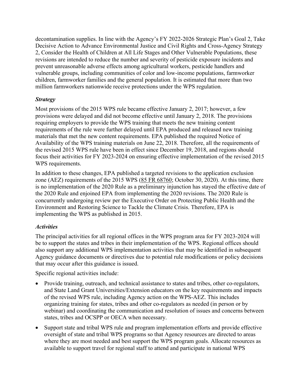decontamination supplies. In line with the Agency's FY 2022-2026 Strategic Plan's Goal 2, Take Decisive Action to Advance Environmental Justice and Civil Rights and Cross-Agency Strategy 2, Consider the Health of Children at All Life Stages and Other Vulnerable Populations, these revisions are intended to reduce the number and severity of pesticide exposure incidents and prevent unreasonable adverse effects among agricultural workers, pesticide handlers and vulnerable groups, including communities of color and low-income populations, farmworker children, farmworker families and the general population. It is estimated that more than two million farmworkers nationwide receive protections under the WPS regulation.

#### *Strategy*

Most provisions of the 2015 WPS rule became effective January 2, 2017; however, a few provisions were delayed and did not become effective until January 2, 2018. The provisions requiring employers to provide the WPS training that meets the new training content requirements of the rule were further delayed until EPA produced and released new training materials that met the new content requirements. EPA published the required Notice of Availability of the WPS training materials on June 22, 2018. Therefore, all the requirements of the revised 2015 WPS rule have been in effect since December 19, 2018, and regions should focus their activities for FY 2023-2024 on ensuring effective implementation of the revised 2015 WPS requirements.

In addition to these changes, EPA published a targeted revisions to the application exclusion zone (AEZ) requirements of the 2015 WPS [\(85 FR 68760;](https://www.federalregister.gov/documents/2020/10/30/2020-23411/pesticides-agricultural-worker-protection-standard-revision-of-the-application-exclusion-zone) October 30, 2020). At this time, there is no implementation of the 2020 Rule as a preliminary injunction has stayed the effective date of the 2020 Rule and enjoined EPA from implementing the 2020 revisions. The 2020 Rule is concurrently undergoing review per the Executive Order on Protecting Public Health and the Environment and Restoring Science to Tackle the Climate Crisis. Therefore, EPA is implementing the WPS as published in 2015.

#### *Activities*

The principal activities for all regional offices in the WPS program area for FY 2023-2024 will be to support the states and tribes in their implementation of the WPS. Regional offices should also support any additional WPS implementation activities that may be identified in subsequent Agency guidance documents or directives due to potential rule modifications or policy decisions that may occur after this guidance is issued.

Specific regional activities include:

- Provide training, outreach, and technical assistance to states and tribes, other co-regulators, and State Land Grant Universities/Extension educators on the key requirements and impacts of the revised WPS rule, including Agency action on the WPS-AEZ. This includes organizing training for states, tribes and other co-regulators as needed (in person or by webinar) and coordinating the communication and resolution of issues and concerns between states, tribes and OCSPP or OECA when necessary.
- Support state and tribal WPS rule and program implementation efforts and provide effective oversight of state and tribal WPS programs so that Agency resources are directed to areas where they are most needed and best support the WPS program goals. Allocate resources as available to support travel for regional staff to attend and participate in national WPS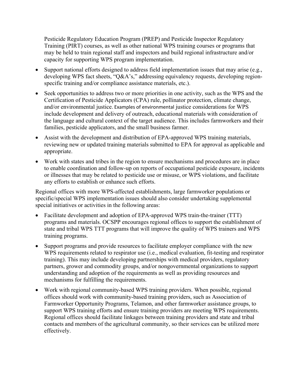Pesticide Regulatory Education Program (PREP) and Pesticide Inspector Regulatory Training (PIRT) courses, as well as other national WPS training courses or programs that may be held to train regional staff and inspectors and build regional infrastructure and/or capacity for supporting WPS program implementation.

- Support national efforts designed to address field implementation issues that may arise (e.g., developing WPS fact sheets, "Q&A's," addressing equivalency requests, developing regionspecific training and/or compliance assistance materials, etc.).
- Seek opportunities to address two or more priorities in one activity, such as the WPS and the Certification of Pesticide Applicators (CPA) rule, pollinator protection, climate change, and/or environmental justice. Examples of environmental justice considerations for WPS include development and delivery of outreach, educational materials with consideration of the language and cultural context of the target audience. This includes farmworkers and their families, pesticide applicators, and the small business farmer.
- Assist with the development and distribution of EPA-approved WPS training materials, reviewing new or updated training materials submitted to EPA for approval as applicable and appropriate.
- Work with states and tribes in the region to ensure mechanisms and procedures are in place to enable coordination and follow-up on reports of occupational pesticide exposure, incidents or illnesses that may be related to pesticide use or misuse, or WPS violations, and facilitate any efforts to establish or enhance such efforts.

Regional offices with more WPS-affected establishments, large farmworker populations or specific/special WPS implementation issues should also consider undertaking supplemental special initiatives or activities in the following areas:

- Facilitate development and adoption of EPA-approved WPS train-the-trainer (TTT) programs and materials. OCSPP encourages regional offices to support the establishment of state and tribal WPS TTT programs that will improve the quality of WPS trainers and WPS training programs.
- Support programs and provide resources to facilitate employer compliance with the new WPS requirements related to respirator use (i.e., medical evaluation, fit-testing and respirator training). This may include developing partnerships with medical providers, regulatory partners, grower and commodity groups, and/or nongovernmental organizations to support understanding and adoption of the requirements as well as providing resources and mechanisms for fulfilling the requirements.
- Work with regional community-based WPS training providers. When possible, regional offices should work with community-based training providers, such as Association of Farmworker Opportunity Programs, Telamon, and other farmworker assistance groups, to support WPS training efforts and ensure training providers are meeting WPS requirements. Regional offices should facilitate linkages between training providers and state and tribal contacts and members of the agricultural community, so their services can be utilized more effectively.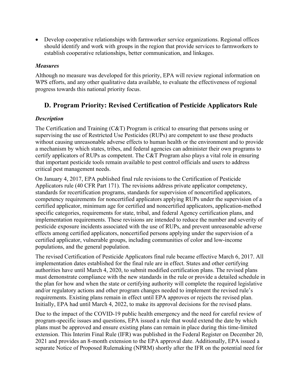• Develop cooperative relationships with farmworker service organizations. Regional offices should identify and work with groups in the region that provide services to farmworkers to establish cooperative relationships, better communication, and linkages.

#### *Measures*

Although no measure was developed for this priority, EPA will review regional information on WPS efforts, and any other qualitative data available, to evaluate the effectiveness of regional progress towards this national priority focus.

### <span id="page-9-0"></span>**D. Program Priority: Revised Certification of Pesticide Applicators Rule**

#### *Description*

The Certification and Training (C&T) Program is critical to ensuring that persons using or supervising the use of Restricted Use Pesticides (RUPs) are competent to use these products without causing unreasonable adverse effects to human health or the environment and to provide a mechanism by which states, tribes, and federal agencies can administer their own programs to certify applicators of RUPs as competent. The C&T Program also plays a vital role in ensuring that important pesticide tools remain available to pest control officials and users to address critical pest management needs.

On January 4, 2017, EPA published final rule revisions to the Certification of Pesticide Applicators rule (40 CFR Part 171). The revisions address private applicator competency, standards for recertification programs, standards for supervision of noncertified applicators, competency requirements for noncertified applicators applying RUPs under the supervision of a certified applicator, minimum age for certified and noncertified applicators, application-method specific categories, requirements for state, tribal, and federal Agency certification plans, and implementation requirements. These revisions are intended to reduce the number and severity of pesticide exposure incidents associated with the use of RUPs, and prevent unreasonable adverse effects among certified applicators, noncertified persons applying under the supervision of a certified applicator, vulnerable groups, including communities of color and low-income populations, and the general population.

The revised Certification of Pesticide Applicators final rule became effective March 6, 2017. All implementation dates established for the final rule are in effect. States and other certifying authorities have until March 4, 2020, to submit modified certification plans. The revised plans must demonstrate compliance with the new standards in the rule or provide a detailed schedule in the plan for how and when the state or certifying authority will complete the required legislative and/or regulatory actions and other program changes needed to implement the revised rule's requirements. Existing plans remain in effect until EPA approves or rejects the revised plan. Initially, EPA had until March 4, 2022, to make its approval decisions for the revised plans.

Due to the impact of the COVID-19 public health emergency and the need for careful review of program-specific issues and questions, EPA issued a rule that would extend the date by which plans must be approved and ensure existing plans can remain in place during this time-limited extension. This Interim Final Rule (IFR) was published in the Federal Register on December 20, 2021 and provides an 8-month extension to the EPA approval date. Additionally, EPA issued a separate Notice of Proposed Rulemaking (NPRM) shortly after the IFR on the potential need for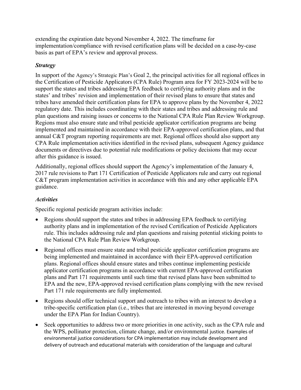extending the expiration date beyond November 4, 2022. The timeframe for implementation/compliance with revised certification plans will be decided on a case-by-case basis as part of EPA's review and approval process.

#### *Strategy*

In support of the Agency's Strategic Plan's Goal 2, the principal activities for all regional offices in the Certification of Pesticide Applicators (CPA Rule) Program area for FY 2023-2024 will be to support the states and tribes addressing EPA feedback to certifying authority plans and in the states' and tribes' revision and implementation of their revised plans to ensure that states and tribes have amended their certification plans for EPA to approve plans by the November 4, 2022 regulatory date. This includes coordinating with their states and tribes and addressing rule and plan questions and raising issues or concerns to the National CPA Rule Plan Review Workgroup. Regions must also ensure state and tribal pesticide applicator certification programs are being implemented and maintained in accordance with their EPA-approved certification plans, and that annual C&T program reporting requirements are met. Regional offices should also support any CPA Rule implementation activities identified in the revised plans, subsequent Agency guidance documents or directives due to potential rule modifications or policy decisions that may occur after this guidance is issued.

Additionally, regional offices should support the Agency's implementation of the January 4, 2017 rule revisions to Part 171 Certification of Pesticide Applicators rule and carry out regional C&T program implementation activities in accordance with this and any other applicable EPA guidance.

#### *Activities*

Specific regional pesticide program activities include:

- Regions should support the states and tribes in addressing EPA feedback to certifying authority plans and in implementation of the revised Certification of Pesticide Applicators rule. This includes addressing rule and plan questions and raising potential sticking points to the National CPA Rule Plan Review Workgroup.
- Regional offices must ensure state and tribal pesticide applicator certification programs are being implemented and maintained in accordance with their EPA-approved certification plans. Regional offices should ensure states and tribes continue implementing pesticide applicator certification programs in accordance with current EPA-approved certification plans and Part 171 requirements until such time that revised plans have been submitted to EPA and the new, EPA-approved revised certification plans complying with the new revised Part 171 rule requirements are fully implemented.
- Regions should offer technical support and outreach to tribes with an interest to develop a tribe-specific certification plan (i.e., tribes that are interested in moving beyond coverage under the EPA Plan for Indian Country).
- Seek opportunities to address two or more priorities in one activity, such as the CPA rule and the WPS, pollinator protection, climate change, and/or environmental justice. Examples of environmental justice considerations for CPA implementation may include development and delivery of outreach and educational materials with consideration of the language and cultural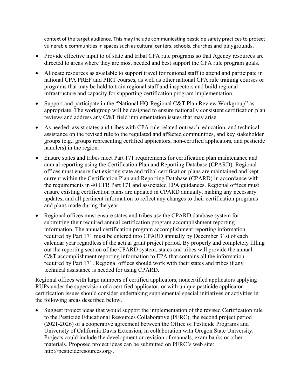context of the target audience. This may include communicating pesticide safety practices to protect vulnerable communities in spaces such as cultural centers, schools, churches and playgrounds.

- Provide effective input to of state and tribal CPA rule programs so that Agency resources are directed to areas where they are most needed and best support the CPA rule program goals.
- Allocate resources as available to support travel for regional staff to attend and participate in national CPA PREP and PIRT courses, as well as other national CPA rule training courses or programs that may be held to train regional staff and inspectors and build regional infrastructure and capacity for supporting certification program implementation.
- Support and participate in the "National HQ-Regional C&T Plan Review Workgroup" as appropriate. The workgroup will be designed to ensure nationally consistent certification plan reviews and address any C&T field implementation issues that may arise.
- As needed, assist states and tribes with CPA rule-related outreach, education, and technical assistance on the revised rule to the regulated and affected communities, and key stakeholder groups (e.g., groups representing certified applicators, non-certified applicators, and pesticide handlers) in the region.
- Ensure states and tribes meet Part 171 requirements for certification plan maintenance and annual reporting using the Certification Plan and Reporting Database (CPARD). Regional offices must ensure that existing state and tribal certification plans are maintained and kept current within the Certification Plan and Reporting Database (CPARD) in accordance with the requirements in 40 CFR Part 171 and associated EPA guidances. Regional offices must ensure existing certification plans are updated in CPARD annually, making any necessary updates, and all pertinent information to reflect any changes to their certification programs and plans made during the year.
- Regional offices must ensure states and tribes use the CPARD database system for submitting their required annual certification program accomplishment reporting information. The annual certification program accomplishment reporting information required by Part 171 must be entered into CPARD annually by December 31st of each calendar year regardless of the actual grant project period. By properly and completely filling out the reporting section of the CPARD system, states and tribes will provide the annual C&T accomplishment reporting information to EPA that contains all the information required by Part 171. Regional offices should work with their states and tribes if any technical assistance is needed for using CPARD.

Regional offices with large numbers of certified applicators, noncertified applicators applying RUPs under the supervision of a certified applicator, or with unique pesticide applicator certification issues should consider undertaking supplemental special initiatives or activities in the following areas described below.

• Suggest project ideas that would support the implementation of the revised Certification rule to the Pesticide Educational Resources Collaborative (PERC), the second project period (2021-2026) of a cooperative agreement between the Office of Pesticide Programs and University of California Davis Extension, in collaboration with Oregon State University. Projects could include the development or revision of manuals, exam banks or other materials. Proposed project ideas can be submitted on PERC's web site: http://pesticideresources.org/.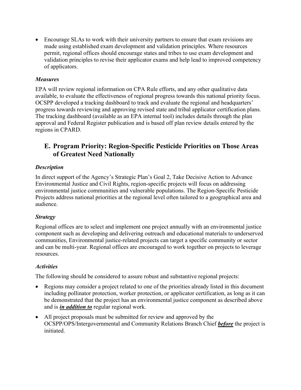• Encourage SLAs to work with their university partners to ensure that exam revisions are made using established exam development and validation principles. Where resources permit, regional offices should encourage states and tribes to use exam development and validation principles to revise their applicator exams and help lead to improved competency of applicators.

#### *Measures*

EPA will review regional information on CPA Rule efforts, and any other qualitative data available, to evaluate the effectiveness of regional progress towards this national priority focus. OCSPP developed a tracking dashboard to track and evaluate the regional and headquarters' progress towards reviewing and approving revised state and tribal applicator certification plans. The tracking dashboard (available as an EPA internal tool) includes details through the plan approval and Federal Register publication and is based off plan review details entered by the regions in CPARD.

### <span id="page-12-0"></span>**E. Program Priority: Region-Specific Pesticide Priorities on Those Areas of Greatest Need Nationally**

#### *Description*

In direct support of the Agency's Strategic Plan's Goal 2, Take Decisive Action to Advance Environmental Justice and Civil Rights, region-specific projects will focus on addressing environmental justice communities and vulnerable populations. The Region-Specific Pesticide Projects address national priorities at the regional level often tailored to a geographical area and audience.

#### *Strategy*

Regional offices are to select and implement one project annually with an environmental justice component such as developing and delivering outreach and educational materials to underserved communities, Environmental justice-related projects can target a specific community or sector and can be multi-year. Regional offices are encouraged to work together on projects to leverage resources.

#### *Activities*

The following should be considered to assure robust and substantive regional projects:

- Regions may consider a project related to one of the priorities already listed in this document including pollinator protection, worker protection, or applicator certification, as long as it can be demonstrated that the project has an environmental justice component as described above and is *in addition to* regular regional work.
- All project proposals must be submitted for review and approved by the OCSPP/OPS/Intergovernmental and Community Relations Branch Chief *before* the project is initiated.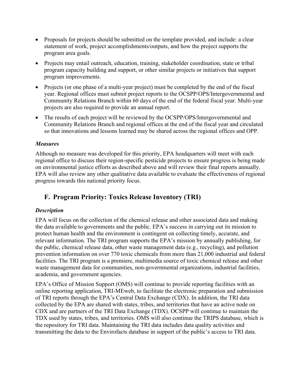- Proposals for projects should be submitted on the template provided, and include: a clear statement of work, project accomplishments/outputs, and how the project supports the program area goals.
- Projects may entail outreach, education, training, stakeholder coordination, state or tribal program capacity building and support, or other similar projects or initiatives that support program improvements.
- Projects (or one phase of a multi-year project) must be completed by the end of the fiscal year. Regional offices must submit project reports to the OCSPP/OPS/Intergovernmental and Community Relations Branch within 60 days of the end of the federal fiscal year. Multi-year projects are also required to provide an annual report.
- The results of each project will be reviewed by the OCSPP/OPS/Intergovernmental and Community Relations Branch and regional offices at the end of the fiscal year and circulated so that innovations and lessons learned may be shared across the regional offices and OPP.

#### *Measures*

Although no measure was developed for this priority, EPA headquarters will meet with each regional office to discuss their region-specific pesticide projects to ensure progress is being made on environmental justice efforts as described above and will review their final reports annually. EPA will also review any other qualitative data available to evaluate the effectiveness of regional progress towards this national priority focus.

## <span id="page-13-0"></span>**F. Program Priority: Toxics Release Inventory (TRI)**

#### *Description*

EPA will focus on the collection of the chemical release and other associated data and making the data available to governments and the public. EPA's success in carrying out its mission to protect human health and the environment is contingent on collecting timely, accurate, and relevant information. The TRI program supports the EPA's mission by annually publishing, for the public, chemical release data, other waste management data (e.g., recycling), and pollution prevention information on over 770 toxic chemicals from more than 21,000 industrial and federal facilities. The TRI program is a premiere, multimedia source of toxic chemical release and other waste management data for communities, non-governmental organizations, industrial facilities, academia, and government agencies.

EPA's Office of Mission Support (OMS) will continue to provide reporting facilities with an online reporting application, TRI-MEweb, to facilitate the electronic preparation and submission of TRI reports through the EPA's Central Data Exchange (CDX). In addition, the TRI data collected by the EPA are shared with states, tribes, and territories that have an active node on CDX and are partners of the TRI Data Exchange (TDX). OCSPP will continue to maintain the TDX used by states, tribes, and territories. OMS will also continue the TRIPS database, which is the repository for TRI data. Maintaining the TRI data includes data quality activities and transmitting the data to the Envirofacts database in support of the public's access to TRI data.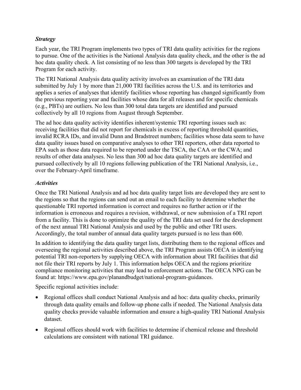#### *Strategy*

Each year, the TRI Program implements two types of TRI data quality activities for the regions to pursue. One of the activities is the National Analysis data quality check, and the other is the ad hoc data quality check. A list consisting of no less than 300 targets is developed by the TRI Program for each activity.

The TRI National Analysis data quality activity involves an examination of the TRI data submitted by July 1 by more than 21,000 TRI facilities across the U.S. and its territories and applies a series of analyses that identify facilities whose reporting has changed significantly from the previous reporting year and facilities whose data for all releases and for specific chemicals (e.g., PBTs) are outliers. No less than 300 total data targets are identified and pursued collectively by all 10 regions from August through September.

The ad hoc data quality activity identifies inherent/systemic TRI reporting issues such as: receiving facilities that did not report for chemicals in excess of reporting threshold quantities, invalid RCRA IDs, and invalid Dunn and Bradstreet numbers; facilities whose data seem to have data quality issues based on comparative analyses to other TRI reporters, other data reported to EPA such as those data required to be reported under the TSCA, the CAA or the CWA; and results of other data analyses. No less than 300 ad hoc data quality targets are identified and pursued collectively by all 10 regions following publication of the TRI National Analysis, i.e., over the February-April timeframe.

#### *Activities*

Once the TRI National Analysis and ad hoc data quality target lists are developed they are sent to the regions so that the regions can send out an email to each facility to determine whether the questionable TRI reported information is correct and requires no further action or if the information is erroneous and requires a revision, withdrawal, or new submission of a TRI report from a facility. This is done to optimize the quality of the TRI data set used for the development of the next annual TRI National Analysis and used by the public and other TRI users. Accordingly, the total number of annual data quality targets pursued is no less than 600.

In addition to identifying the data quality target lists, distributing them to the regional offices and overseeing the regional activities described above, the TRI Program assists OECA in identifying potential TRI non-reporters by supplying OECA with information about TRI facilities that did not file their TRI reports by July 1. This information helps OECA and the regions prioritize compliance monitoring activities that may lead to enforcement actions. The OECA NPG can be found at: https://www.epa.gov/planandbudget/national-program-guidances.

Specific regional activities include:

- Regional offices shall conduct National Analysis and ad hoc: data quality checks, primarily through data quality emails and follow-up phone calls if needed. The National Analysis data quality checks provide valuable information and ensure a high-quality TRI National Analysis dataset.
- Regional offices should work with facilities to determine if chemical release and threshold calculations are consistent with national TRI guidance.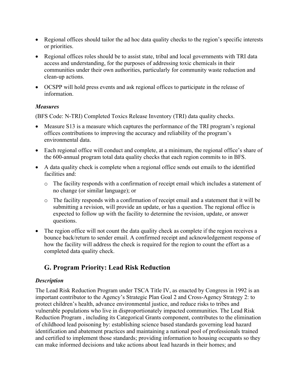- Regional offices should tailor the ad hoc data quality checks to the region's specific interests or priorities.
- Regional offices roles should be to assist state, tribal and local governments with TRI data access and understanding, for the purposes of addressing toxic chemicals in their communities under their own authorities, particularly for community waste reduction and clean-up actions.
- OCSPP will hold press events and ask regional offices to participate in the release of information.

#### *Measures*

(BFS Code: N-TRI) Completed Toxics Release Inventory (TRI) data quality checks.

- Measure S13 is a measure which captures the performance of the TRI program's regional offices contributions to improving the accuracy and reliability of the program's environmental data.
- Each regional office will conduct and complete, at a minimum, the regional office's share of the 600-annual program total data quality checks that each region commits to in BFS.
- A data quality check is complete when a regional office sends out emails to the identified facilities and:
	- o The facility responds with a confirmation of receipt email which includes a statement of no change (or similar language); or
	- o The facility responds with a confirmation of receipt email and a statement that it will be submitting a revision, will provide an update, or has a question. The regional office is expected to follow up with the facility to determine the revision, update, or answer questions.
- The region office will not count the data quality check as complete if the region receives a bounce back/return to sender email. A confirmed receipt and acknowledgement response of how the facility will address the check is required for the region to count the effort as a completed data quality check.

## <span id="page-15-0"></span>**G. Program Priority: Lead Risk Reduction**

#### *Description*

The Lead Risk Reduction Program under TSCA Title IV, as enacted by Congress in 1992 is an important contributor to the Agency's Strategic Plan Goal 2 and Cross-Agency Strategy 2: to protect children's health, advance environmental justice, and reduce risks to tribes and vulnerable populations who live in disproportionately impacted communities. The Lead Risk Reduction Program , including its Categorical Grants component, contributes to the elimination of childhood lead poisoning by: establishing science based standards governing lead hazard identification and abatement practices and maintaining a national pool of professionals trained and certified to implement those standards; providing information to housing occupants so they can make informed decisions and take actions about lead hazards in their homes; and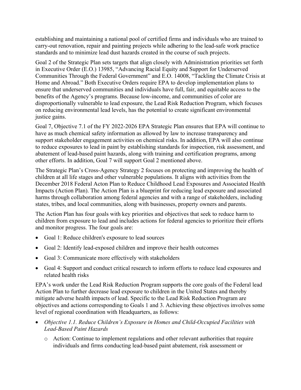establishing and maintaining a national pool of certified firms and individuals who are trained to carry-out renovation, repair and painting projects while adhering to the lead-safe work practice standards and to minimize lead dust hazards created in the course of such projects.

Goal 2 of the Strategic Plan sets targets that align closely with Administration priorities set forth in Executive Order (E.O.) 13985, "Advancing Racial Equity and Support for Underserved Communities Through the Federal Government" and E.O. 14008, "Tackling the Climate Crisis at Home and Abroad." Both Executive Orders require EPA to develop implementation plans to ensure that underserved communities and individuals have full, fair, and equitable access to the benefits of the Agency's programs. Because low-income, and communities of color are disproportionally vulnerable to lead exposure, the Lead Risk Reduction Program, which focuses on reducing environmental lead levels, has the potential to create significant environmental justice gains.

Goal 7, Objective 7.1 of the FY 2022-2026 EPA Strategic Plan ensures that EPA will continue to have as much chemical safety information as allowed by law to increase transparency and support stakeholder engagement activities on chemical risks. In addition, EPA will also continue to reduce exposures to lead in paint by establishing standards for inspection, risk assessment, and abatement of lead-based paint hazards, along with training and certification programs, among other efforts. In addition, Goal 7 will support Goal 2 mentioned above.

The Strategic Plan's Cross-Agency Strategy 2 focuses on protecting and improving the health of children at all life stages and other vulnerable populations. It aligns with activities from the December 2018 Federal Acton Plan to Reduce Childhood Lead Exposures and Associated Health Impacts (Action Plan). The Action Plan is a blueprint for reducing lead exposure and associated harms through collaboration among federal agencies and with a range of stakeholders, including states, tribes, and local communities, along with businesses, property owners and parents.

The Action Plan has four goals with key priorities and objectives that seek to reduce harm to children from exposure to lead and includes actions for federal agencies to prioritize their efforts and monitor progress. The four goals are:

- Goal 1: Reduce children's exposure to lead sources
- Goal 2: Identify lead-exposed children and improve their health outcomes
- Goal 3: Communicate more effectively with stakeholders
- Goal 4: Support and conduct critical research to inform efforts to reduce lead exposures and related health risks

EPA's work under the Lead Risk Reduction Program supports the core goals of the Federal lead Action Plan to further decrease lead exposure to children in the United States and thereby mitigate adverse health impacts of lead. Specific to the Lead Risk Reduction Program are objectives and actions corresponding to Goals 1 and 3. Achieving these objectives involves some level of regional coordination with Headquarters, as follows:

- *Objective 1.1. Reduce Children's Exposure in Homes and Child-Occupied Facilities with Lead-Based Paint Hazards*
	- o Action: Continue to implement regulations and other relevant authorities that require individuals and firms conducting lead-based paint abatement, risk assessment or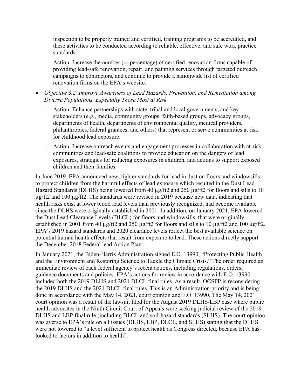inspection to be properly trained and certified, training programs to be accredited, and these activities to be conducted according to reliable, effective, and safe work practice standards.

- o Action: Increase the number (or percentage) of certified renovation firms capable of providing lead-safe renovation, repair, and painting services through targeted outreach campaigns to contractors, and continue to provide a nationwide list of certified renovation firms on the EPA's website.
- *Objective 3.2. Improve Awareness of Lead Hazards, Prevention, and Remediation among Diverse Populations, Especially Those Most at Risk*
	- o Action: Enhance partnerships with state, tribal and local governments, and key stakeholders (e.g., media, community groups, faith-based groups, advocacy groups, departments of health, departments of environmental quality, medical providers, philanthropies, federal grantees, and others) that represent or serve communities at risk for childhood lead exposure.
	- o Action: Increase outreach events and engagement processes in collaboration with at-risk communities and lead-safe coalitions to provide education on the dangers of lead exposures, strategies for reducing exposures in children, and actions to support exposed children and their families.

In June 2019, EPA announced new, tighter standards for lead in dust on floors and windowsills to protect children from the harmful effects of lead exposure which resulted in the Dust Lead Hazard Standards (DLHS) being lowered from 40  $\mu$ g/ft2 and 250  $\mu$ g/ft2 for floors and sills to 10 µg/ft2 and 100 µg/ft2. The standards were revised in 2019 because new data, indicating that health risks exist at lower blood lead levels than previously recognized, had become available since the DLHS were originally established in 2001. In addition, on January 2021, EPA lowered the Dust Lead Clearance Levels (DLCL) for floors and windowsills, that were originally established in 2001 from 40 µg/ft2 and 250 µg/ft2 for floors and sills to 10 µg/ft2 and 100 µg/ft2. EPA's 2019 hazard standards and 2020 clearance levels reflect the best available science on potential human health effects that result from exposure to lead. These actions directly support the December 2018 Federal lead Action Plan.

In January 2021, the Biden-Harris Administration signed E.O. 13990, "Protecting Public Health and the Environment and Restoring Science to Tackle the Climate Crisis." The order required an immediate review of each federal agency's recent actions, including regulations, orders, guidance documents and policies. EPA's actions for review in accordance with E.O. 13990 included both the 2019 DLHS and 2021 DLCL final rules. As a result, OCSPP is reconsidering the 2019 DLHS and the 2021 DLCL final rules. This is an Administration priority and is being done in accordance with the May 14, 2021, court opinion and E.O. 13990. The May 14, 2021 court opinion was a result of the lawsuit filed for the August 2019 DLHS/LBP case where public health advocates in the Ninth Circuit Court of Appeals were seeking judicial review of the 2019 DLHS and LBP final rule (including DLCL and soil-hazard standards (SLHS). The court opinion was averse to EPA's rule on all issues (DLHS, LBP, DLCL, and SLHS) stating that the DLHS were not lowered to "a level sufficient to protect health as Congress directed, because EPA has looked to factors in addition to health".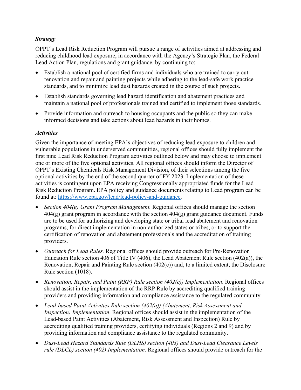#### *Strategy*

OPPT's Lead Risk Reduction Program will pursue a range of activities aimed at addressing and reducing childhood lead exposure, in accordance with the Agency's Strategic Plan, the Federal Lead Action Plan, regulations and grant guidance, by continuing to:

- Establish a national pool of certified firms and individuals who are trained to carry out renovation and repair and painting projects while adhering to the lead-safe work practice standards, and to minimize lead dust hazards created in the course of such projects.
- Establish standards governing lead hazard identification and abatement practices and maintain a national pool of professionals trained and certified to implement those standards.
- Provide information and outreach to housing occupants and the public so they can make informed decisions and take actions about lead hazards in their homes.

#### *Activities*

Given the importance of meeting EPA's objectives of reducing lead exposure to children and vulnerable populations in underserved communities, regional offices should fully implement the first nine Lead Risk Reduction Program activities outlined below and may choose to implement one or more of the five optional activities. All regional offices should inform the Director of OPPT's Existing Chemicals Risk Management Division, of their selections among the five optional activities by the end of the second quarter of FY 2023. Implementation of these activities is contingent upon EPA receiving Congressionally appropriated funds for the Lead Risk Reduction Program. EPA policy and guidance documents relating to Lead program can be found at: [https://www.epa.gov/lead/lead-policy-and-guidance.](https://www.epa.gov/lead/lead-policy-and-guidance)

- *Section 404(g) Grant Program Management.* Regional offices should manage the section  $404(g)$  grant program in accordance with the section  $404(g)$  grant guidance document. Funds are to be used for authorizing and developing state or tribal lead abatement and renovation programs, for direct implementation in non-authorized states or tribes, or to support the certification of renovation and abatement professionals and the accreditation of training providers.
- *Outreach for Lead Rules.* Regional offices should provide outreach for Pre-Renovation Education Rule section 406 of Title IV (406), the Lead Abatement Rule section (402(a)), the Renovation, Repair and Painting Rule section (402(c)) and, to a limited extent, the Disclosure Rule section (1018).
- *Renovation, Repair, and Paint (RRP) Rule section (402(c)) Implementation*. Regional offices should assist in the implementation of the RRP Rule by accrediting qualified training providers and providing information and compliance assistance to the regulated community.
- *Lead-based Paint Activities Rule section (402(a)) (Abatement, Risk Assessment and Inspection) Implementation*. Regional offices should assist in the implementation of the Lead-based Paint Activities (Abatement, Risk Assessment and Inspection) Rule by accrediting qualified training providers, certifying individuals (Regions 2 and 9) and by providing information and compliance assistance to the regulated community.
- *Dust-Lead Hazard Standards Rule (DLHS) section (403) and Dust-Lead Clearance Levels rule (DLCL) section (402) Implementation.* Regional offices should provide outreach for the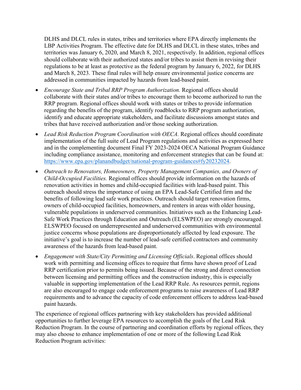DLHS and DLCL rules in states, tribes and territories where EPA directly implements the LBP Activities Program. The effective date for DLHS and DLCL in these states, tribes and territories was January 6, 2020, and March 8, 2021, respectively. In addition, regional offices should collaborate with their authorized states and/or tribes to assist them in revising their regulations to be at least as protective as the federal program by January 6, 2022, for DLHS and March 8, 2023. These final rules will help ensure environmental justice concerns are addressed in communities impacted by hazards from lead-based paint.

- *Encourage State and Tribal RRP Program Authorization.* Regional offices should collaborate with their states and/or tribes to encourage them to become authorized to run the RRP program. Regional offices should work with states or tribes to provide information regarding the benefits of the program, identify roadblocks to RRP program authorization, identify and educate appropriate stakeholders, and facilitate discussions amongst states and tribes that have received authorization and/or those seeking authorization.
- *Lead Risk Reduction Program Coordination with OECA.* Regional offices should coordinate implementation of the full suite of Lead Program regulations and activities as expressed here and in the complementing document Final FY 2023-2024 OECA National Program Guidance including compliance assistance, monitoring and enforcement strategies that can be found at: [https://www.epa.gov/planandbudget/national-program-guidances#fy20232024.](https://www.epa.gov/planandbudget/national-program-guidances#fy20232024)
- *Outreach to Renovators, Homeowners, Property Management Companies, and Owners of Child-Occupied Facilities.* Regional offices should provide information on the hazards of renovation activities in homes and child-occupied facilities with lead-based paint. This outreach should stress the importance of using an EPA Lead-Safe Certified firm and the benefits of following lead safe work practices. Outreach should target renovation firms, owners of child-occupied facilities, homeowners, and renters in areas with older housing, vulnerable populations in underserved communities. Initiatives such as the Enhancing Lead-Safe Work Practices through Education and Outreach (ELSWPEO) are strongly encouraged. ELSWPEO focused on underrepresented and underserved communities with environmental justice concerns whose populations are disproportionately affected by lead exposure. The initiative's goal is to increase the number of lead-safe certified contractors and community awareness of the hazards from lead-based paint.
- *Engagement with State/City Permitting and Licensing Officials*. Regional offices should work with permitting and licensing offices to require that firms have shown proof of Lead RRP certification prior to permits being issued. Because of the strong and direct connection between licensing and permitting offices and the construction industry, this is especially valuable in supporting implementation of the Lead RRP Rule. As resources permit, regions are also encouraged to engage code enforcement programs to raise awareness of Lead RRP requirements and to advance the capacity of code enforcement officers to address lead-based paint hazards.

The experience of regional offices partnering with key stakeholders has provided additional opportunities to further leverage EPA resources to accomplish the goals of the Lead Risk Reduction Program. In the course of partnering and coordination efforts by regional offices, they may also choose to enhance implementation of one or more of the following Lead Risk Reduction Program activities: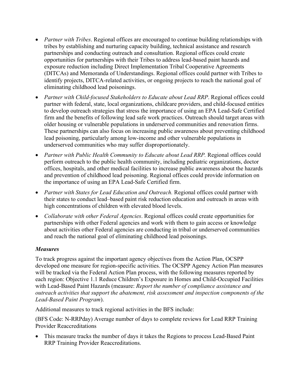- *Partner with Tribes*. Regional offices are encouraged to continue building relationships with tribes by establishing and nurturing capacity building, technical assistance and research partnerships and conducting outreach and consultation. Regional offices could create opportunities for partnerships with their Tribes to address lead-based paint hazards and exposure reduction including Direct Implementation Tribal Cooperative Agreements (DITCAs) and Memoranda of Understandings. Regional offices could partner with Tribes to identify projects, DITCA-related activities, or ongoing projects to reach the national goal of eliminating childhood lead poisonings.
- *Partner with Child-focused Stakeholders to Educate about Lead RRP*. Regional offices could partner with federal, state, local organizations, childcare providers, and child-focused entities to develop outreach strategies that stress the importance of using an EPA Lead-Safe Certified firm and the benefits of following lead safe work practices. Outreach should target areas with older housing or vulnerable populations in underserved communities and renovation firms. These partnerships can also focus on increasing public awareness about preventing childhood lead poisoning, particularly among low-income and other vulnerable populations in underserved communities who may suffer disproportionately.
- *Partner with Public Health Community to Educate about Lead RRP.* Regional offices could perform outreach to the public health community, including pediatric organizations, doctor offices, hospitals, and other medical facilities to increase public awareness about the hazards and prevention of childhood lead poisoning. Regional offices could provide information on the importance of using an EPA Lead-Safe Certified firm.
- *Partner with States for Lead Education and Outreach.* Regional offices could partner with their states to conduct lead–based paint risk reduction education and outreach in areas with high concentrations of children with elevated blood levels.
- *Collaborate with other Federal Agencies*. Regional offices could create opportunities for partnerships with other Federal agencies and work with them to gain access or knowledge about activities other Federal agencies are conducting in tribal or underserved communities and reach the national goal of eliminating childhood lead poisonings.

#### *Measures*

To track progress against the important agency objectives from the Action Plan, OCSPP developed one measure for region-specific activities. The OCSPP Agency Action Plan measures will be tracked via the Federal Action Plan process, with the following measures reported by each region: Objective 1.1 Reduce Children's Exposure in Homes and Child-Occupied Facilities with Lead-Based Paint Hazards (measure: *Report the number of compliance assistance and outreach activities that support the abatement, risk assessment and inspection components of the Lead-Based Paint Program*).

Additional measures to track regional activities in the BFS include:

(BFS Code: N-RRPday) Average number of days to complete reviews for Lead RRP Training Provider Reaccreditations

• This measure tracks the number of days it takes the Regions to process Lead-Based Paint RRP Training Provider Reaccreditations.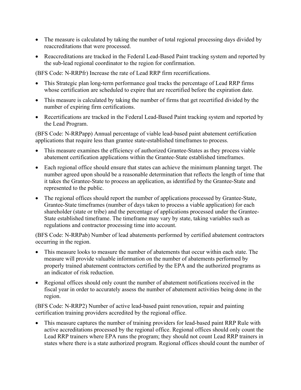- The measure is calculated by taking the number of total regional processing days divided by reaccreditations that were processed.
- Reaccreditations are tracked in the Federal Lead-Based Paint tracking system and reported by the sub-lead regional coordinator to the region for confirmation.

(BFS Code: N-RRPfr) Increase the rate of Lead RRP firm recertifications.

- This Strategic plan long-term performance goal tracks the percentage of Lead RRP firms whose certification are scheduled to expire that are recertified before the expiration date.
- This measure is calculated by taking the number of firms that get recertified divided by the number of expiring firm certifications.
- Recertifications are tracked in the Federal Lead-Based Paint tracking system and reported by the Lead Program.

(BFS Code: N-RRPapp) Annual percentage of viable lead-based paint abatement certification applications that require less than grantee state-established timeframes to process.

- This measure examines the efficiency of authorized Grantee-States as they process viable abatement certification applications within the Grantee-State established timeframes.
- Each regional office should ensure that states can achieve the minimum planning target. The number agreed upon should be a reasonable determination that reflects the length of time that it takes the Grantee-State to process an application, as identified by the Grantee-State and represented to the public.
- The regional offices should report the number of applications processed by Grantee-State, Grantee-State timeframes (number of days taken to process a viable application) for each shareholder (state or tribe) and the percentage of applications processed under the Grantee-State established timeframe. The timeframe may vary by state, taking variables such as regulations and contractor processing time into account.

(BFS Code: N-RRPab) Number of lead abatements performed by certified abatement contractors occurring in the region.

- This measure looks to measure the number of abatements that occur within each state. The measure will provide valuable information on the number of abatements performed by properly trained abatement contractors certified by the EPA and the authorized programs as an indicator of risk reduction.
- Regional offices should only count the number of abatement notifications received in the fiscal year in order to accurately assess the number of abatement activities being done in the region.

(BFS Code: N-RRP2) Number of active lead-based paint renovation, repair and painting certification training providers accredited by the regional office.

• This measure captures the number of training providers for lead-based paint RRP Rule with active accreditations processed by the regional office. Regional offices should only count the Lead RRP trainers where EPA runs the program; they should not count Lead RRP trainers in states where there is a state authorized program. Regional offices should count the number of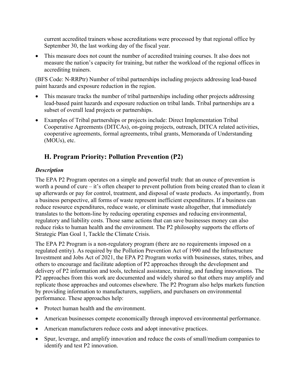current accredited trainers whose accreditations were processed by that regional office by September 30, the last working day of the fiscal year.

• This measure does not count the number of accredited training courses. It also does not measure the nation's capacity for training, but rather the workload of the regional offices in accrediting trainers.

(BFS Code: N-RRPtr) Number of tribal partnerships including projects addressing lead-based paint hazards and exposure reduction in the region.

- This measure tracks the number of tribal partnerships including other projects addressing lead-based paint hazards and exposure reduction on tribal lands. Tribal partnerships are a subset of overall lead projects or partnerships.
- Examples of Tribal partnerships or projects include: Direct Implementation Tribal Cooperative Agreements (DITCAs), on-going projects, outreach, DITCA related activities, cooperative agreements, formal agreements, tribal grants, Memoranda of Understanding (MOUs), etc.

## <span id="page-22-0"></span>**H. Program Priority: Pollution Prevention (P2)**

#### *Description*

The EPA P2 Program operates on a simple and powerful truth: that an ounce of prevention is worth a pound of cure – it's often cheaper to prevent pollution from being created than to clean it up afterwards or pay for control, treatment, and disposal of waste products. As importantly, from a business perspective, all forms of waste represent inefficient expenditures. If a business can reduce resource expenditures, reduce waste, or eliminate waste altogether, that immediately translates to the bottom-line by reducing operating expenses and reducing environmental, regulatory and liability costs. Those same actions that can save businesses money can also reduce risks to human health and the environment. The P2 philosophy supports the efforts of Strategic Plan Goal 1, Tackle the Climate Crisis.

The EPA P2 Program is a non-regulatory program (there are no requirements imposed on a regulated entity). As required by the Pollution Prevention Act of 1990 and the Infrastructure Investment and Jobs Act of 2021, the EPA P2 Program works with businesses, states, tribes, and others to encourage and facilitate adoption of P2 approaches through the development and delivery of P2 information and tools, technical assistance, training, and funding innovations. The P2 approaches from this work are documented and widely shared so that others may amplify and replicate those approaches and outcomes elsewhere. The P2 Program also helps markets function by providing information to manufacturers, suppliers, and purchasers on environmental performance. These approaches help:

- Protect human health and the environment.
- American businesses compete economically through improved environmental performance.
- American manufacturers reduce costs and adopt innovative practices.
- Spur, leverage, and amplify innovation and reduce the costs of small/medium companies to identify and test P2 innovation.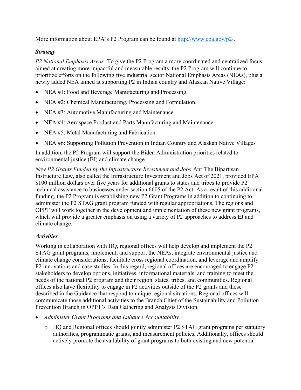More information about EPA's P2 Program can be found at [http://www.epa.gov/p2/.](http://www.epa.gov/p2/)

#### *Strategy*

*P2 National Emphasis Areas:* To give the P2 Program a more coordinated and centralized focus aimed at creating more impactful and measurable results, the P2 Program will continue to prioritize efforts on the following five industrial sector National Emphasis Areas (NEAs), plus a newly added NEA aimed at supporting P2 in Indian country and Alaskan Native Village:

- NEA #1: Food and Beverage Manufacturing and Processing.
- NEA #2: Chemical Manufacturing, Processing and Formulation.
- NEA #3: Automotive Manufacturing and Maintenance.
- NEA #4: Aerospace Product and Parts Manufacturing and Maintenance.
- NEA #5: Metal Manufacturing and Fabrication.
- NEA #6: Supporting Pollution Prevention in Indian Country and Alaskan Native Villages

In addition, the P2 Program will support the Biden Administration priorities related to environmental justice (EJ) and climate change.

*New P2 Grants Funded by the Infrastructure Investment and Jobs Act:* The Bipartisan Instructure Law, also called the Infrastructure Investment and Jobs Act of 2021, provided EPA \$100 million dollars over five years for additional grants to states and tribes to provide P2 technical assistance to businesses under section 6605 of the P2 Act. As a result of this additional funding, the P2 Program is establishing new P2 Grant Programs in addition to continuing to administer the P2 STAG grant program funded with regular appropriations. The regions and OPPT will work together in the development and implementation of these new grant programs, which will provide a greater emphasis on using a variety of P2 approaches to address EJ and climate change.

#### *Activities*

Working in collaboration with HQ, regional offices will help develop and implement the P2 STAG grant programs, implement, and support the NEAs, integrate environmental justice and climate change considerations, facilitate cross regional coordination, and leverage and amplify P2 innovations and case studies. In this regard, regional offices are encouraged to engage P2 stakeholders to develop options, initiatives, informational materials, and training to meet the needs of the national P2 program and their region, states, tribes, and communities. Regional offices also have flexibility to engage in P2 activities outside of the P2 grants and those described in the Guidance that respond to unique regional situations. Regional offices will communicate those additional activities to the Branch Chief of the Sustainability and Pollution Prevention Branch in OPPT's Data Gathering and Analysis Division.

- *Administer Grant Programs and Enhance Accountability* 
	- o HQ and Regional offices should jointly administer P2 STAG grant programs per statutory authorities, programmatic grants, and measurement policies. Additionally, offices should actively promote the availability of grant programs to both existing and new potential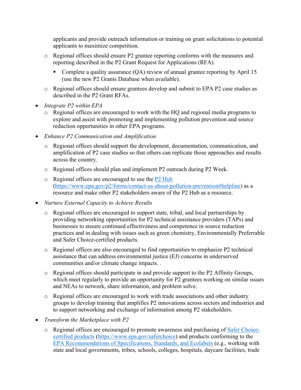applicants and provide outreach information or training on grant solicitations to potential applicants to maximize competition.

- o Regional offices should ensure P2 grantee reporting conforms with the measures and reporting described in the P2 Grant Request for Applications (RFA).
	- Complete a quality assurance (QA) review of annual grantee reporting by April 15 (use the new P2 Grants Database when available).
- o Regional offices should ensure grantees develop and submit to EPA P2 case studies as described in the P2 Grant RFAs.
- *Integrate P2 within EPA*
	- o Regional offices are encouraged to work with the HQ and regional media programs to explore and assist with promoting and implementing pollution prevention and source reduction opportunities in other EPA programs.
- *Enhance P2 Communication and Amplification* 
	- o Regional offices should support the development, documentation, communication, and amplification of P2 case studies so that others can replicate those approaches and results across the country.
	- o Regional offices should plan and implement P2 outreach during P2 Week.
	- o Regional offices are encouraged to use the [P2 Hub](https://www.epa.gov/p2/forms/contact-us-about-pollution-prevention#helpline) [\(https://www.epa.gov/p2/forms/contact-us-about-pollution-prevention#helpline\)](https://www.epa.gov/p2/forms/contact-us-about-pollution-prevention#helpline) as a resource and make other P2 stakeholders aware of the P2 Hub as a resource.
- *Nurture External Capacity to Achieve Results*
	- o Regional offices are encouraged to support state, tribal, and local partnerships by providing networking opportunities for P2 technical assistance providers (TAPs) and businesses to ensure continued effectiveness and competence in source reduction practices and in dealing with issues such as green chemistry, Environmentally Preferrable and Safer Choice-certified products.
	- o Regional offices are also encouraged to find opportunities to emphasize P2 technical assistance that can address environmental justice (EJ) concerns in underserved communities and/or climate change impacts. .
	- o Regional offices should participate in and provide support to the P2 Affinity Groups, which meet regularly to provide an opportunity for P2 grantees working on similar issues and NEAs to network, share information, and problem solve.
	- o Regional offices are encouraged to work with trade associations and other industry groups to develop training that amplifies P2 innovations across sectors and industries and to support networking and exchange of information among P2 stakeholders.
- *Transform the Marketplace with P2* 
	- o Regional offices are encouraged to promote awareness and purchasing of [Safer Choice](https://www.epa.gov/saferchoice)[certified products \(https://www.epa.gov/saferchoice\)](https://www.epa.gov/saferchoice) and products conforming to the [EPA Recommendations of Specifications, Standards, and Ecolabels](https://www.epa.gov/greenerproducts/recommendations-specifications-standards-and-ecolabels-federal-purchasing) (e.g., working with state and local governments, tribes, schools, colleges, hospitals, daycare facilities, trade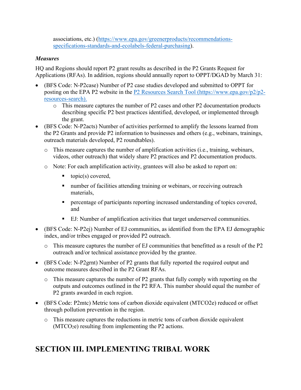associations, etc.) [\(https://www.epa.gov/greenerproducts/recommendations](https://www.epa.gov/greenerproducts/recommendations-specifications-standards-and-ecolabels-federal-purchasing)[specifications-standards-and-ecolabels-federal-purchasing\)](https://www.epa.gov/greenerproducts/recommendations-specifications-standards-and-ecolabels-federal-purchasing).

#### *Measures*

HQ and Regions should report P2 grant results as described in the P2 Grants Request for Applications (RFAs). In addition, regions should annually report to OPPT/DGAD by March 31:

- (BFS Code: N-P2case) Number of P2 case studies developed and submitted to OPPT for posting on the EPA P2 website in the [P2 Resources Search Tool \(https://www.epa.gov/p2/p2](https://usepa.sharepoint.com/sites/OCSPPPlanningAccountability/Shared%20Documents/FY%202023-2024%20NPG/FY%202023-2024%20NPG/0%20-%20Starting%20Drafts/P2%20Resources%20Search%20Tool%20(https:/www.epa.gov/p2/p2-resources-search).) [resources-search\).](https://usepa.sharepoint.com/sites/OCSPPPlanningAccountability/Shared%20Documents/FY%202023-2024%20NPG/FY%202023-2024%20NPG/0%20-%20Starting%20Drafts/P2%20Resources%20Search%20Tool%20(https:/www.epa.gov/p2/p2-resources-search).) 
	- o This measure captures the number of P2 cases and other P2 documentation products describing specific P2 best practices identified, developed, or implemented through the grant.
- (BFS Code: N-P2acts) Number of activities performed to amplify the lessons learned from the P2 Grants and provide P2 information to businesses and others (e.g., webinars, trainings, outreach materials developed, P2 roundtables).
	- $\circ$  This measure captures the number of amplification activities (i.e., training, webinars, videos, other outreach) that widely share P2 practices and P2 documentation products.
	- o Note: For each amplification activity, grantees will also be asked to report on:
		- topic(s) covered,
		- number of facilities attending training or webinars, or receiving outreach materials,
		- **Percentage of participants reporting increased understanding of topics covered,** and
		- EJ: Number of amplification activities that target underserved communities.
- (BFS Code: N-P2ej) Number of EJ communities, as identified from the EPA EJ demographic index, and/or tribes engaged or provided P2 outreach.
	- o This measure captures the number of EJ communities that benefitted as a result of the P2 outreach and/or technical assistance provided by the grantee.
- (BFS Code: N-P2grnt) Number of P2 grants that fully reported the required output and outcome measures described in the P2 Grant RFAs.
	- This measure captures the number of P2 grants that fully comply with reporting on the outputs and outcomes outlined in the P2 RFA. This number should equal the number of P2 grants awarded in each region.
- (BFS Code: P2mtc) Metric tons of carbon dioxide equivalent (MTCO2e) reduced or offset through pollution prevention in the region.
	- o This measure captures the reductions in metric tons of carbon dioxide equivalent  $(MTCO<sub>2</sub>e)$  resulting from implementing the P2 actions.

## <span id="page-25-0"></span>**SECTION III. IMPLEMENTING TRIBAL WORK**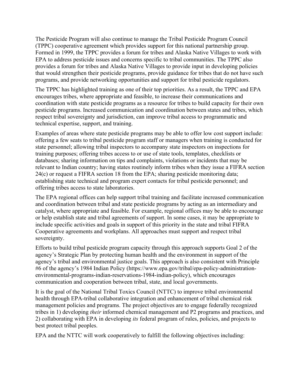The Pesticide Program will also continue to manage the Tribal Pesticide Program Council (TPPC) cooperative agreement which provides support for this national partnership group. Formed in 1999, the TPPC provides a forum for tribes and Alaska Native Villages to work with EPA to address pesticide issues and concerns specific to tribal communities. The TPPC also provides a forum for tribes and Alaska Native Villages to provide input in developing policies that would strengthen their pesticide programs, provide guidance for tribes that do not have such programs, and provide networking opportunities and support for tribal pesticide regulators.

The TPPC has highlighted training as one of their top priorities. As a result, the TPPC and EPA encourages tribes, where appropriate and feasible, to increase their communications and coordination with state pesticide programs as a resource for tribes to build capacity for their own pesticide programs. Increased communication and coordination between states and tribes, which respect tribal sovereignty and jurisdiction, can improve tribal access to programmatic and technical expertise, support, and training.

Examples of areas where state pesticide programs may be able to offer low cost support include: offering a few seats to tribal pesticide program staff or managers when training is conducted for state personnel; allowing tribal inspectors to accompany state inspectors on inspections for training purposes; offering tribes access to or use of state tools, templates, checklists or databases; sharing information on tips and complaints, violations or incidents that may be relevant to Indian country; having states routinely inform tribes when they issue a FIFRA section 24(c) or request a FIFRA section 18 from the EPA; sharing pesticide monitoring data; establishing state technical and program expert contacts for tribal pesticide personnel; and offering tribes access to state laboratories.

The EPA regional offices can help support tribal training and facilitate increased communication and coordination between tribal and state pesticide programs by acting as an intermediary and catalyst, where appropriate and feasible. For example, regional offices may be able to encourage or help establish state and tribal agreements of support. In some cases, it may be appropriate to include specific activities and goals in support of this priority in the state and tribal FIFRA Cooperative agreements and workplans. All approaches must support and respect tribal sovereignty.

Efforts to build tribal pesticide program capacity through this approach supports Goal 2 of the agency's Strategic Plan by protecting human health and the environment in support of the agency's tribal and environmental justice goals. This approach is also consistent with Principle #6 of the agency's 1984 Indian Policy (https://www.epa.gov/tribal/epa-policy-administrationenvironmental-programs-indian-reservations-1984-indian-policy), which encourages communication and cooperation between tribal, state, and local governments.

It is the goal of the National Tribal Toxics Council (NTTC) to improve tribal environmental health through EPA‐tribal collaborative integration and enhancement of tribal chemical risk management policies and programs. The project objectives are to engage federally recognized tribes in 1) developing *their* informed chemical management and P2 programs and practices, and 2) collaborating with EPA in developing *its* federal program of rules, policies, and projects to best protect tribal peoples.

EPA and the NTTC will work cooperatively to fulfill the following objectives including: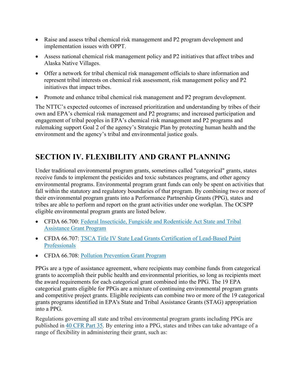- Raise and assess tribal chemical risk management and P2 program development and implementation issues with OPPT.
- Assess national chemical risk management policy and P2 initiatives that affect tribes and Alaska Native Villages.
- Offer a network for tribal chemical risk management officials to share information and represent tribal interests on chemical risk assessment, risk management policy and P2 initiatives that impact tribes.
- Promote and enhance tribal chemical risk management and P2 program development.

The NTTC's expected outcomes of increased prioritization and understanding by tribes of their own and EPA's chemical risk management and P2 programs; and increased participation and engagement of tribal peoples in EPA's chemical risk management and P2 programs and rulemaking support Goal 2 of the agency's Strategic Plan by protecting human health and the environment and the agency's tribal and environmental justice goals.

## <span id="page-27-0"></span>**SECTION IV. FLEXIBILITY AND GRANT PLANNING**

Under traditional environmental program grants, sometimes called "categorical" grants, states receive funds to implement the pesticides and toxic substances programs, and other agency environmental programs. Environmental program grant funds can only be spent on activities that fall within the statutory and regulatory boundaries of that program. By combining two or more of their environmental program grants into a Performance Partnership Grants (PPG), states and tribes are able to perform and report on the grant activities under one workplan. The OCSPP eligible environmental program grants are listed below.

- CFDA 66.700: [Federal Insecticide, Fungicide and Rodenticide Act State and Tribal](https://www.epa.gov/compliance/federal-insecticide-fungicide-and-rodenticide-act-state-and-tribal-assistance-grant)  [Assistance Grant Program](https://www.epa.gov/compliance/federal-insecticide-fungicide-and-rodenticide-act-state-and-tribal-assistance-grant)
- CFDA 66.707: [TSCA Title IV State Lead Grants Certification of Lead-Based Paint](https://www.epa.gov/lead/lead-policy-and-guidance)  [Professionals](https://www.epa.gov/lead/lead-policy-and-guidance)
- CFDA 66.708: [Pollution Prevention Grant Program](https://www.epa.gov/p2/grant-programs-pollution-prevention)

PPGs are a type of assistance agreement, where recipients may combine funds from categorical grants to accomplish their public health and environmental priorities, so long as recipients meet the award requirements for each categorical grant combined into the PPG. The 19 EPA categorical grants eligible for PPGs are a mixture of continuing environmental program grants and competitive project grants. Eligible recipients can combine two or more of the 19 categorical grants programs identified in EPA's State and Tribal Assistance Grants (STAG) appropriation into a PPG.

Regulations governing all state and tribal environmental program grants including PPGs are published in [40 CFR Part 35.](http://www.ecfr.gov/cgi-bin/text-idx?c=ecfr&SID=1d6882f5064288405183c862de948347&rgn=div5&view=text&node=40%3A1.0.1.2.32&idno=40) By entering into a PPG, states and tribes can take advantage of a range of flexibility in administering their grant, such as: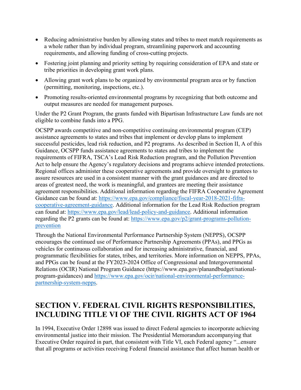- Reducing administrative burden by allowing states and tribes to meet match requirements as a whole rather than by individual program, streamlining paperwork and accounting requirements, and allowing funding of cross-cutting projects.
- Fostering joint planning and priority setting by requiring consideration of EPA and state or tribe priorities in developing grant work plans.
- Allowing grant work plans to be organized by environmental program area or by function (permitting, monitoring, inspections, etc.).
- Promoting results-oriented environmental programs by recognizing that both outcome and output measures are needed for management purposes.

Under the P2 Grant Program, the grants funded with Bipartisan Infrastructure Law funds are not eligible to combine funds into a PPG.

OCSPP awards competitive and non-competitive continuing environmental program (CEP) assistance agreements to states and tribes that implement or develop plans to implement successful pesticides, lead risk reduction, and P2 programs. As described in Section II, A of this Guidance, OCSPP funds assistance agreements to states and tribes to implement the requirements of FIFRA, TSCA's Lead Risk Reduction program, and the Pollution Prevention Act to help ensure the Agency's regulatory decisions and programs achieve intended protections. Regional offices administer these cooperative agreements and provide oversight to grantees to assure resources are used in a consistent manner with the grant guidances and are directed to areas of greatest need, the work is meaningful, and grantees are meeting their assistance agreement responsibilities. Additional information regarding the FIFRA Cooperative Agreement Guidance can be found at: [https://www.epa.gov/compliance/fiscal-year-2018-2021-fifra](https://www.epa.gov/compliance/fiscal-year-2018-2021-fifra-cooperative-agreement-guidance)[cooperative-agreement-guidance.](https://www.epa.gov/compliance/fiscal-year-2018-2021-fifra-cooperative-agreement-guidance) Additional information for the Lead Risk Reduction program can found at: [https://www.epa.gov/lead/lead-policy-and-guidance.](https://www.epa.gov/lead/lead-policy-and-guidance) Additional information regarding the P2 grants can be found at: [https://www.epa.gov/p2/grant-programs-pollution](https://www.epa.gov/p2/grant-programs-pollution-prevention)[prevention](https://www.epa.gov/p2/grant-programs-pollution-prevention)

Through the National Environmental Performance Partnership System (NEPPS), OCSPP encourages the continued use of Performance Partnership Agreements (PPAs), and PPGs as vehicles for continuous collaboration and for increasing administrative, financial, and programmatic flexibilities for states, tribes, and territories. More information on NEPPS, PPAs, and PPGs can be found at the FY2023-2024 Office of Congressional and Intergovernmental Relations (OCIR) National Program Guidance (https://www.epa.gov/planandbudget/nationalprogram-guidances) and [https://www.epa.gov/ocir/national-environmental-performance](https://www.epa.gov/ocir/national-environmental-performance-partnership-system-nepps)[partnership-system-nepps.](https://www.epa.gov/ocir/national-environmental-performance-partnership-system-nepps)

## <span id="page-28-0"></span>**SECTION V. FEDERAL CIVIL RIGHTS RESPONSIBILITIES, INCLUDING TITLE VI OF THE CIVIL RIGHTS ACT OF 1964**

In 1994, Executive Order 12898 was issued to direct Federal agencies to incorporate achieving environmental justice into their mission. The Presidential Memorandum accompanying that Executive Order required in part, that consistent with Title VI, each Federal agency "...ensure that all programs or activities receiving Federal financial assistance that affect human health or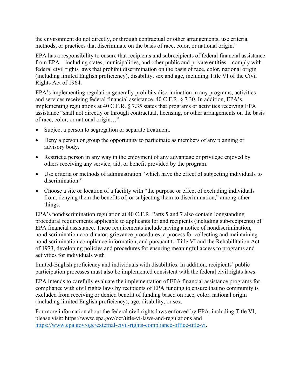the environment do not directly, or through contractual or other arrangements, use criteria, methods, or practices that discriminate on the basis of race, color, or national origin."

EPA has a responsibility to ensure that recipients and subrecipients of federal financial assistance from EPA—including states, municipalities, and other public and private entities—comply with federal civil rights laws that prohibit discrimination on the basis of race, color, national origin (including limited English proficiency), disability, sex and age, including Title VI of the Civil Rights Act of 1964.

EPA's implementing regulation generally prohibits discrimination in any programs, activities and services receiving federal financial assistance. 40 C.F.R. § 7.30. In addition, EPA's implementing regulations at 40 C.F.R. § 7.35 states that programs or activities receiving EPA assistance "shall not directly or through contractual, licensing, or other arrangements on the basis of race, color, or national origin…":

- Subject a person to segregation or separate treatment.
- Deny a person or group the opportunity to participate as members of any planning or advisory body.
- Restrict a person in any way in the enjoyment of any advantage or privilege enjoyed by others receiving any service, aid, or benefit provided by the program.
- Use criteria or methods of administration "which have the effect of subjecting individuals to discrimination."
- Choose a site or location of a facility with "the purpose or effect of excluding individuals" from, denying them the benefits of, or subjecting them to discrimination," among other things.

EPA's nondiscrimination regulation at 40 C.F.R. Parts 5 and 7 also contain longstanding procedural requirements applicable to applicants for and recipients (including sub-recipients) of EPA financial assistance. These requirements include having a notice of nondiscrimination, nondiscrimination coordinator, grievance procedures, a process for collecting and maintaining nondiscrimination compliance information, and pursuant to Title VI and the Rehabilitation Act of 1973, developing policies and procedures for ensuring meaningful access to programs and activities for individuals with

limited-English proficiency and individuals with disabilities. In addition, recipients' public participation processes must also be implemented consistent with the federal civil rights laws.

EPA intends to carefully evaluate the implementation of EPA financial assistance programs for compliance with civil rights laws by recipients of EPA funding to ensure that no community is excluded from receiving or denied benefit of funding based on race, color, national origin (including limited English proficiency), age, disability, or sex.

For more information about the federal civil rights laws enforced by EPA, including Title VI, please visit: https://www.epa.gov/ocr/title-vi-laws-and-regulations and [https://www.epa.gov/ogc/external-civil-rights-compliance-office-title-vi.](https://www.epa.gov/ogc/external-civil-rights-compliance-office-title-vi)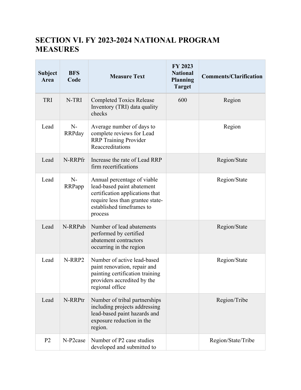## <span id="page-30-0"></span>**SECTION VI. FY 2023-2024 NATIONAL PROGRAM MEASURES**

| <b>Subject</b><br>Area | <b>BFS</b><br>Code    | <b>Measure Text</b>                                                                                                                                                      | FY 2023<br><b>National</b><br><b>Planning</b><br><b>Target</b> | <b>Comments/Clarification</b> |
|------------------------|-----------------------|--------------------------------------------------------------------------------------------------------------------------------------------------------------------------|----------------------------------------------------------------|-------------------------------|
| TRI                    | N-TRI                 | <b>Completed Toxics Release</b><br>Inventory (TRI) data quality<br>checks                                                                                                | 600                                                            | Region                        |
| Lead                   | $N-$<br><b>RRPday</b> | Average number of days to<br>complete reviews for Lead<br><b>RRP</b> Training Provider<br>Reaccreditations                                                               |                                                                | Region                        |
| Lead                   | N-RRPfr               | Increase the rate of Lead RRP<br>firm recertifications                                                                                                                   |                                                                | Region/State                  |
| Lead                   | $N-$<br>RRPapp        | Annual percentage of viable<br>lead-based paint abatement<br>certification applications that<br>require less than grantee state-<br>established timeframes to<br>process |                                                                | Region/State                  |
| Lead                   | N-RRPab               | Number of lead abatements<br>performed by certified<br>abatement contractors<br>occurring in the region                                                                  |                                                                | Region/State                  |
| Lead                   | N-RRP2                | Number of active lead-based<br>paint renovation, repair and<br>painting certification training<br>providers accredited by the<br>regional office                         |                                                                | Region/State                  |
| Lead                   | N-RRPtr               | Number of tribal partnerships<br>including projects addressing<br>lead-based paint hazards and<br>exposure reduction in the<br>region.                                   |                                                                | Region/Tribe                  |
| P <sub>2</sub>         | N-P2case              | Number of P2 case studies<br>developed and submitted to                                                                                                                  |                                                                | Region/State/Tribe            |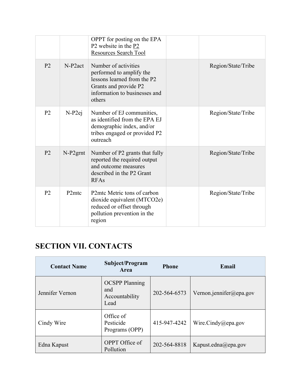|                |                                | OPPT for posting on the EPA<br>P2 website in the P2<br><b>Resources Search Tool</b>                                                                 |                    |
|----------------|--------------------------------|-----------------------------------------------------------------------------------------------------------------------------------------------------|--------------------|
| P <sub>2</sub> | $N-P2act$                      | Number of activities<br>performed to amplify the<br>lessons learned from the P2<br>Grants and provide P2<br>information to businesses and<br>others | Region/State/Tribe |
| P <sub>2</sub> | $N-P2ej$                       | Number of EJ communities,<br>as identified from the EPA EJ<br>demographic index, and/or<br>tribes engaged or provided P2<br>outreach                | Region/State/Tribe |
| P <sub>2</sub> | $N-P2$ grnt                    | Number of P2 grants that fully<br>reported the required output<br>and outcome measures<br>described in the P2 Grant<br><b>RFAs</b>                  | Region/State/Tribe |
| P <sub>2</sub> | P <sub>2</sub> m <sub>tc</sub> | P2mtc Metric tons of carbon<br>dioxide equivalent (MTCO2e)<br>reduced or offset through<br>pollution prevention in the<br>region                    | Region/State/Tribe |

## <span id="page-31-0"></span>**SECTION VII. [CONTACTS](https://usepa.sharepoint.com/sites/OCFO_Work/npmguidance/_layouts/15/WopiFrame.aspx?sourcedoc=%7bDD0FE104-4205-468D-9D64-A8A810BD7FC7%7d&file=Key%20Contacts%20Template.docx&action=default)**

**Contract Contract Contract** 

| <b>Contact Name</b> | Subject/Program<br><b>Area</b>                         | <b>Phone</b> | Email                   |
|---------------------|--------------------------------------------------------|--------------|-------------------------|
| Jennifer Vernon     | <b>OCSPP</b> Planning<br>and<br>Accountability<br>Lead | 202-564-6573 | Vernon.jennifer@epa.gov |
| Cindy Wire          | Office of<br>Pesticide<br>Programs (OPP)               | 415-947-4242 | Wire.Cindy@epa.gov      |
| Edna Kapust         | OPPT Office of<br>Pollution                            | 202-564-8818 | Kapust.edna@epa.gov     |